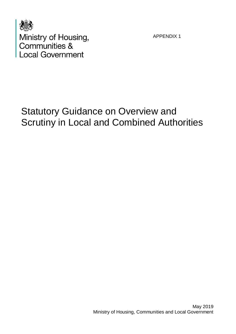

Ministry of Housing,<br>Communities & **Local Government** 

APPENDIX 1

# Statutory Guidance on Overview and Scrutiny in Local and Combined Authorities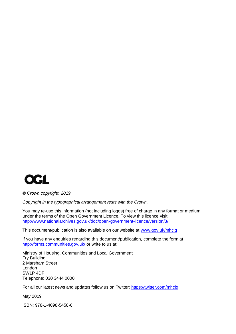

*© Crown copyright, 2019*

*Copyright in the typographical arrangement rests with the Crown.*

You may re-use this information (not including logos) free of charge in any format or medium, under the terms of the Open Government Licence. To view this licence visit <http://www.nationalarchives.gov.uk/doc/open-government-licence/version/3/>

This document/publication is also available on our website at [www.gov.uk/mhclg](http://www.gov.uk/mhclg)

If you have any enquiries regarding this document/publication, complete the form at <http://forms.communities.gov.uk/> or write to us at:

Ministry of Housing, Communities and Local Government Fry Building 2 Marsham Street London SW1P 4DF Telephone: 030 3444 0000

For all our latest news and updates follow us on Twitter:<https://twitter.com/mhclg>

May 2019

ISBN: 978-1-4098-5458-6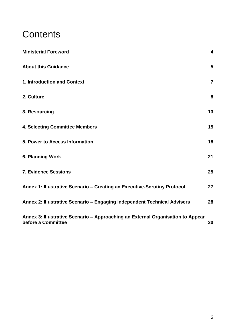## **Contents**

| <b>Ministerial Foreword</b>                                                                           | $\overline{\mathbf{4}}$ |
|-------------------------------------------------------------------------------------------------------|-------------------------|
| <b>About this Guidance</b>                                                                            | 5                       |
| 1. Introduction and Context                                                                           | $\overline{7}$          |
| 2. Culture                                                                                            | 8                       |
| 3. Resourcing                                                                                         | 13                      |
| <b>4. Selecting Committee Members</b>                                                                 | 15                      |
| 5. Power to Access Information                                                                        | 18                      |
| 6. Planning Work                                                                                      | 21                      |
| <b>7. Evidence Sessions</b>                                                                           | 25                      |
| Annex 1: Illustrative Scenario - Creating an Executive-Scrutiny Protocol                              | 27                      |
| Annex 2: Illustrative Scenario - Engaging Independent Technical Advisers                              | 28                      |
| Annex 3: Illustrative Scenario - Approaching an External Organisation to Appear<br>before a Committee | 30                      |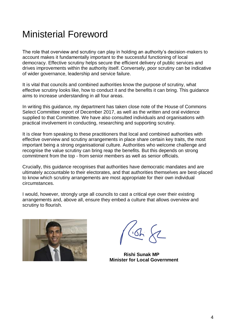### <span id="page-3-0"></span>Ministerial Foreword

The role that overview and scrutiny can play in holding an authority's decision-makers to account makes it fundamentally important to the successful functioning of local democracy. Effective scrutiny helps secure the efficient delivery of public services and drives improvements within the authority itself. Conversely, poor scrutiny can be indicative of wider governance, leadership and service failure.

It is vital that councils and combined authorities know the purpose of scrutiny, what effective scrutiny looks like, how to conduct it and the benefits it can bring. This guidance aims to increase understanding in all four areas.

In writing this guidance, my department has taken close note of the House of Commons Select Committee report of December 2017, as well as the written and oral evidence supplied to that Committee. We have also consulted individuals and organisations with practical involvement in conducting, researching and supporting scrutiny.

It is clear from speaking to these practitioners that local and combined authorities with effective overview and scrutiny arrangements in place share certain key traits, the most important being a strong organisational culture. Authorities who welcome challenge and recognise the value scrutiny can bring reap the benefits. But this depends on strong commitment from the top - from senior members as well as senior officials.

Crucially, this guidance recognises that authorities have democratic mandates and are ultimately accountable to their electorates, and that authorities themselves are best-placed to know which scrutiny arrangements are most appropriate for their own individual circumstances.

I would, however, strongly urge all councils to cast a critical eye over their existing arrangements and, above all, ensure they embed a culture that allows overview and scrutiny to flourish.



 **Rishi Sunak MP Minister for Local Government**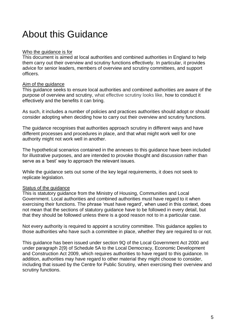# <span id="page-4-0"></span>About this Guidance

#### Who the guidance is for

This document is aimed at local authorities and combined authorities in England to help them carry out their overview and scrutiny functions effectively. In particular, it provides advice for senior leaders, members of overview and scrutiny committees, and support officers.

#### Aim of the guidance

This guidance seeks to ensure local authorities and combined authorities are aware of the purpose of overview and scrutiny, what effective scrutiny looks like, how to conduct it effectively and the benefits it can bring.

As such, it includes a number of policies and practices authorities should adopt or should consider adopting when deciding how to carry out their overview and scrutiny functions.

The guidance recognises that authorities approach scrutiny in different ways and have different processes and procedures in place, and that what might work well for one authority might not work well in another.

The hypothetical scenarios contained in the annexes to this guidance have been included for illustrative purposes, and are intended to provoke thought and discussion rather than serve as a 'best' way to approach the relevant issues.

While the guidance sets out some of the key legal requirements, it does not seek to replicate legislation.

### Status of the guidance

This is statutory guidance from the Ministry of Housing, Communities and Local Government. Local authorities and combined authorities must have regard to it when exercising their functions. The phrase 'must have regard', when used in this context, does not mean that the sections of statutory guidance have to be followed in every detail, but that they should be followed unless there is a good reason not to in a particular case.

Not every authority is required to appoint a scrutiny committee. This guidance applies to those authorities who have such a committee in place, whether they are required to or not.

This guidance has been issued under section 9Q of the Local Government Act 2000 and under paragraph 2(9) of Schedule 5A to the Local Democracy, Economic Development and Construction Act 2009, which requires authorities to have regard to this guidance. In addition, authorities may have regard to other material they might choose to consider. including that issued by the Centre for Public Scrutiny, when exercising their overview and scrutiny functions.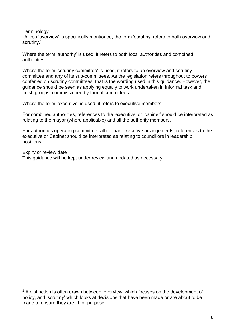#### **Terminology**

Unless 'overview' is specifically mentioned, the term 'scrutiny' refers to both overview and scrutiny.<sup>1</sup>

Where the term 'authority' is used, it refers to both local authorities and combined authorities.

Where the term 'scrutiny committee' is used, it refers to an overview and scrutiny committee and any of its sub-committees. As the legislation refers throughout to powers conferred on scrutiny committees, that is the wording used in this guidance. However, the guidance should be seen as applying equally to work undertaken in informal task and finish groups, commissioned by formal committees.

Where the term 'executive' is used, it refers to executive members.

For combined authorities, references to the 'executive' or 'cabinet' should be interpreted as relating to the mayor (where applicable) and all the authority members.

For authorities operating committee rather than executive arrangements, references to the executive or Cabinet should be interpreted as relating to councillors in leadership positions.

#### Expiry or review date

<u>.</u>

This guidance will be kept under review and updated as necessary.

<sup>&</sup>lt;sup>1</sup> A distinction is often drawn between 'overview' which focuses on the development of policy, and 'scrutiny' which looks at decisions that have been made or are about to be made to ensure they are fit for purpose.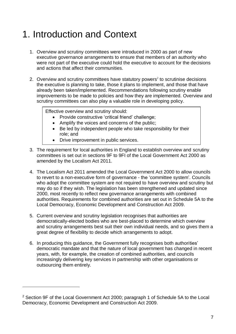# <span id="page-6-0"></span>1. Introduction and Context

- 1. Overview and scrutiny committees were introduced in 2000 as part of new executive governance arrangements to ensure that members of an authority who were not part of the executive could hold the executive to account for the decisions and actions that affect their communities.
- 2. Overview and scrutiny committees have statutory powers<sup>2</sup> to scrutinise decisions the executive is planning to take, those it plans to implement, and those that have already been taken/implemented. Recommendations following scrutiny enable improvements to be made to policies and how they are implemented. Overview and scrutiny committees can also play a valuable role in developing policy.

Effective overview and scrutiny should:

- Provide constructive 'critical friend' challenge;
- Amplify the voices and concerns of the public;
- Be led by independent people who take responsibility for their role; and
- Drive improvement in public services.
- 3. The requirement for local authorities in England to establish overview and scrutiny committees is set out in sections 9F to 9FI of the Local Government Act 2000 as amended by the Localism Act 2011.
- 4. The Localism Act 2011 amended the Local Government Act 2000 to allow councils to revert to a non-executive form of governance - the 'committee system'. Councils who adopt the committee system are not required to have overview and scrutiny but may do so if they wish. The legislation has been strengthened and updated since 2000, most recently to reflect new governance arrangements with combined authorities. Requirements for combined authorities are set out in Schedule 5A to the Local Democracy, Economic Development and Construction Act 2009.
- 5. Current overview and scrutiny legislation recognises that authorities are democratically-elected bodies who are best-placed to determine which overview and scrutiny arrangements best suit their own individual needs, and so gives them a great degree of flexibility to decide which arrangements to adopt.
- 6. In producing this guidance, the Government fully recognises both authorities' democratic mandate and that the nature of local government has changed in recent years, with, for example, the creation of combined authorities, and councils increasingly delivering key services in partnership with other organisations or outsourcing them entirely.

1

<sup>2</sup> Section 9F of the Local Government Act 2000; paragraph 1 of Schedule 5A to the Local Democracy, Economic Development and Construction Act 2009.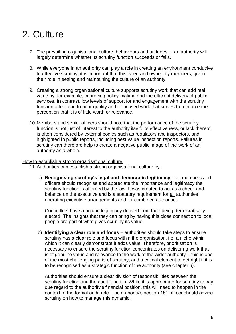# <span id="page-7-0"></span>2. Culture

- 7. The prevailing organisational culture, behaviours and attitudes of an authority will largely determine whether its scrutiny function succeeds or fails.
- 8. While everyone in an authority can play a role in creating an environment conducive to effective scrutiny, it is important that this is led and owned by members, given their role in setting and maintaining the culture of an authority.
- 9. Creating a strong organisational culture supports scrutiny work that can add real value by, for example, improving policy-making and the efficient delivery of public services. In contrast, low levels of support for and engagement with the scrutiny function often lead to poor quality and ill-focused work that serves to reinforce the perception that it is of little worth or relevance.
- 10.Members and senior officers should note that the performance of the scrutiny function is not just of interest to the authority itself. Its effectiveness, or lack thereof, is often considered by external bodies such as regulators and inspectors, and highlighted in public reports, including best value inspection reports. Failures in scrutiny can therefore help to create a negative public image of the work of an authority as a whole.

#### How to establish a strong organisational culture

11.Authorities can establish a strong organisational culture by:

a) **Recognising scrutiny's legal and democratic legitimacy** – all members and officers should recognise and appreciate the importance and legitimacy the scrutiny function is afforded by the law. It was created to act as a check and balance on the executive and is a statutory requirement for all authorities operating executive arrangements and for combined authorities.

Councillors have a unique legitimacy derived from their being democratically elected. The insights that they can bring by having this close connection to local people are part of what gives scrutiny its value.

b) **Identifying a clear role and focus** – authorities should take steps to ensure scrutiny has a clear role and focus within the organisation, i.e. a niche within which it can clearly demonstrate it adds value. Therefore, prioritisation is necessary to ensure the scrutiny function concentrates on delivering work that is of genuine value and relevance to the work of the wider authority – this is one of the most challenging parts of scrutiny, and a critical element to get right if it is to be recognised as a strategic function of the authority (see chapter 6).

Authorities should ensure a clear division of responsibilities between the scrutiny function and the audit function. While it is appropriate for scrutiny to pay due regard to the authority's financial position, this will need to happen in the context of the formal audit role. The authority's section 151 officer should advise scrutiny on how to manage this dynamic.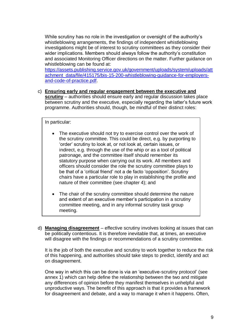While scrutiny has no role in the investigation or oversight of the authority's whistleblowing arrangements, the findings of independent whistleblowing investigations might be of interest to scrutiny committees as they consider their wider implications. Members should always follow the authority's constitution and associated Monitoring Officer directions on the matter. Further guidance on whistleblowing can be found at:

[https://assets.publishing.service.gov.uk/government/uploads/system/uploads/att](https://assets.publishing.service.gov.uk/government/uploads/system/uploads/attachment_data/file/415175/bis-15-200-whistleblowing-guidance-for-employers-and-code-of-practice.pdf) [achment\\_data/file/415175/bis-15-200-whistleblowing-guidance-for-employers](https://assets.publishing.service.gov.uk/government/uploads/system/uploads/attachment_data/file/415175/bis-15-200-whistleblowing-guidance-for-employers-and-code-of-practice.pdf)[and-code-of-practice.pdf.](https://assets.publishing.service.gov.uk/government/uploads/system/uploads/attachment_data/file/415175/bis-15-200-whistleblowing-guidance-for-employers-and-code-of-practice.pdf)

c) **Ensuring early and regular engagement between the executive and scrutiny** – authorities should ensure early and regular discussion takes place between scrutiny and the executive, especially regarding the latter's future work programme. Authorities should, though, be mindful of their distinct roles:

In particular:

- The executive should not try to exercise control over the work of the scrutiny committee. This could be direct, e.g. by purporting to 'order' scrutiny to look at, or not look at, certain issues, or indirect, e.g. through the use of the whip or as a tool of political patronage, and the committee itself should remember its statutory purpose when carrying out its work. All members and officers should consider the role the scrutiny committee plays to be that of a 'critical friend' not a de facto 'opposition'. Scrutiny chairs have a particular role to play in establishing the profile and nature of their committee (see chapter 4); and
- The chair of the scrutiny committee should determine the nature and extent of an executive member's participation in a scrutiny committee meeting, and in any informal scrutiny task group meeting.
- d) **Managing disagreement** effective scrutiny involves looking at issues that can be politically contentious. It is therefore inevitable that, at times, an executive will disagree with the findings or recommendations of a scrutiny committee.

It is the job of both the executive and scrutiny to work together to reduce the risk of this happening, and authorities should take steps to predict, identify and act on disagreement.

One way in which this can be done is via an 'executive-scrutiny protocol' (see annex 1) which can help define the relationship between the two and mitigate any differences of opinion before they manifest themselves in unhelpful and unproductive ways. The benefit of this approach is that it provides a framework for disagreement and debate, and a way to manage it when it happens. Often,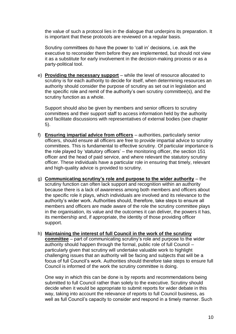the value of such a protocol lies in the dialogue that underpins its preparation. It is important that these protocols are reviewed on a regular basis.

Scrutiny committees do have the power to 'call in' decisions, i.e. ask the executive to reconsider them before they are implemented, but should not view it as a substitute for early involvement in the decision-making process or as a party-political tool.

e) **Providing the necessary support** – while the level of resource allocated to scrutiny is for each authority to decide for itself, when determining resources an authority should consider the purpose of scrutiny as set out in legislation and the specific role and remit of the authority's own scrutiny committee(s), and the scrutiny function as a whole.

Support should also be given by members and senior officers to scrutiny committees and their support staff to access information held by the authority and facilitate discussions with representatives of external bodies (see chapter 5).

- f) **Ensuring impartial advice from officers** authorities, particularly senior officers, should ensure all officers are free to provide impartial advice to scrutiny committees. This is fundamental to effective scrutiny. Of particular importance is the role played by 'statutory officers' – the monitoring officer, the section 151 officer and the head of paid service, and where relevant the statutory scrutiny officer. These individuals have a particular role in ensuring that timely, relevant and high-quality advice is provided to scrutiny.
- g) **Communicating scrutiny's role and purpose to the wider authority** the scrutiny function can often lack support and recognition within an authority because there is a lack of awareness among both members and officers about the specific role it plays, which individuals are involved and its relevance to the authority's wider work. Authorities should, therefore, take steps to ensure all members and officers are made aware of the role the scrutiny committee plays in the organisation, its value and the outcomes it can deliver, the powers it has, its membership and, if appropriate, the identity of those providing officer support.
- h) **Maintaining the interest of full Council in the work of the scrutiny committee** – part of communicating scrutiny's role and purpose to the wider authority should happen through the formal, public role of full Council – particularly given that scrutiny will undertake valuable work to highlight challenging issues that an authority will be facing and subjects that will be a focus of full Council's work. Authorities should therefore take steps to ensure full Council is informed of the work the scrutiny committee is doing.

One way in which this can be done is by reports and recommendations being submitted to full Council rather than solely to the executive. Scrutiny should decide when it would be appropriate to submit reports for wider debate in this way, taking into account the relevance of reports to full Council business, as well as full Council's capacity to consider and respond in a timely manner. Such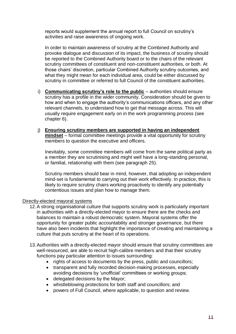reports would supplement the annual report to full Council on scrutiny's activities and raise awareness of ongoing work.

In order to maintain awareness of scrutiny at the Combined Authority and provoke dialogue and discussion of its impact, the business of scrutiny should be reported to the Combined Authority board or to the chairs of the relevant scrutiny committees of constituent and non-constituent authorities, or both. At those chairs' discretion, particular Combined Authority scrutiny outcomes, and what they might mean for each individual area, could be either discussed by scrutiny in committee or referred to full Council of the constituent authorities.

- i) **Communicating scrutiny's role to the public** authorities should ensure scrutiny has a profile in the wider community. Consideration should be given to how and when to engage the authority's communications officers, and any other relevant channels, to understand how to get that message across. This will usually require engagement early on in the work programming process (see chapter 6).
- j) **Ensuring scrutiny members are supported in having an independent mindset** – formal committee meetings provide a vital opportunity for scrutiny members to question the executive and officers.

Inevitably, some committee members will come from the same political party as a member they are scrutinising and might well have a long-standing personal, or familial, relationship with them (see paragraph 25).

Scrutiny members should bear in mind, however, that adopting an independent mind-set is fundamental to carrying out their work effectively. In practice, this is likely to require scrutiny chairs working proactively to identify any potentially contentious issues and plan how to manage them.

Directly-elected mayoral systems

- 12.A strong organisational culture that supports scrutiny work is particularly important in authorities with a directly-elected mayor to ensure there are the checks and balances to maintain a robust democratic system. Mayoral systems offer the opportunity for greater public accountability and stronger governance, but there have also been incidents that highlight the importance of creating and maintaining a culture that puts scrutiny at the heart of its operations.
- 13.Authorities with a directly-elected mayor should ensure that scrutiny committees are well-resourced, are able to recruit high-calibre members and that their scrutiny functions pay particular attention to issues surrounding:
	- rights of access to documents by the press, public and councillors;
	- transparent and fully recorded decision-making processes, especially avoiding decisions by 'unofficial' committees or working groups;
	- delegated decisions by the Mayor;
	- whistleblowing protections for both staff and councillors; and
	- powers of Full Council, where applicable, to question and review.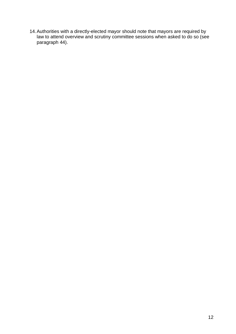14.Authorities with a directly-elected mayor should note that mayors are required by law to attend overview and scrutiny committee sessions when asked to do so (see paragraph 44).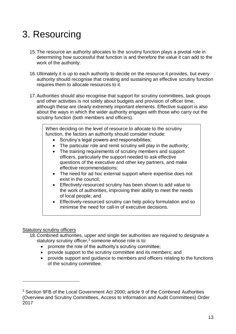# <span id="page-12-0"></span>3. Resourcing

- 15.The resource an authority allocates to the scrutiny function plays a pivotal role in determining how successful that function is and therefore the value it can add to the work of the authority.
- 16.Ultimately it is up to each authority to decide on the resource it provides, but every authority should recognise that creating and sustaining an effective scrutiny function requires them to allocate resources to it.
- 17.Authorities should also recognise that support for scrutiny committees, task groups and other activities is not solely about budgets and provision of officer time, although these are clearly extremely important elements. Effective support is also about the ways in which the wider authority engages with those who carry out the scrutiny function (both members and officers).

When deciding on the level of resource to allocate to the scrutiny function, the factors an authority should consider include:

- Scrutiny's legal powers and responsibilities;
- The particular role and remit scrutiny will play in the authority;
- The training requirements of scrutiny members and support officers, particularly the support needed to ask effective questions of the executive and other key partners, and make effective recommendations;
- The need for ad hoc external support where expertise does not exist in the council;
- Effectively-resourced scrutiny has been shown to add value to the work of authorities, improving their ability to meet the needs of local people; and
- Effectively-resourced scrutiny can help policy formulation and so minimise the need for call-in of executive decisions.

### Statutory scrutiny officers

<u>.</u>

- 18.Combined authorities, upper and single tier authorities are required to designate a statutory scrutiny officer.<sup>3</sup> someone whose role is to:
	- promote the role of the authority's scrutiny committee;
	- provide support to the scrutiny committee and its members; and
	- provide support and guidance to members and officers relating to the functions of the scrutiny committee.

<sup>3</sup> Section 9FB of the Local Government Act 2000; article 9 of the Combined Authorities (Overview and Scrutiny Committees, Access to Information and Audit Committees) Order 2017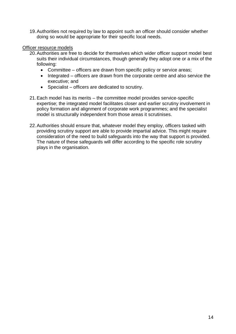19.Authorities not required by law to appoint such an officer should consider whether doing so would be appropriate for their specific local needs.

#### Officer resource models

- 20.Authorities are free to decide for themselves which wider officer support model best suits their individual circumstances, though generally they adopt one or a mix of the following:
	- Committee officers are drawn from specific policy or service areas;
	- Integrated officers are drawn from the corporate centre and also service the executive; and
	- Specialist officers are dedicated to scrutiny.
- 21.Each model has its merits the committee model provides service-specific expertise; the integrated model facilitates closer and earlier scrutiny involvement in policy formation and alignment of corporate work programmes; and the specialist model is structurally independent from those areas it scrutinises.
- 22.Authorities should ensure that, whatever model they employ, officers tasked with providing scrutiny support are able to provide impartial advice. This might require consideration of the need to build safeguards into the way that support is provided. The nature of these safeguards will differ according to the specific role scrutiny plays in the organisation.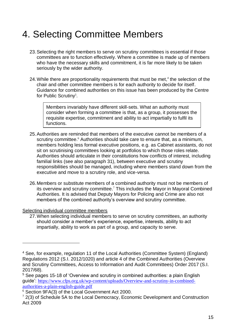# <span id="page-14-0"></span>4. Selecting Committee Members

- 23.Selecting the right members to serve on scrutiny committees is essential if those committees are to function effectively. Where a committee is made up of members who have the necessary skills and commitment, it is far more likely to be taken seriously by the wider authority.
- 24. While there are proportionality requirements that must be met,<sup>4</sup> the selection of the chair and other committee members is for each authority to decide for itself. Guidance for combined authorities on this issue has been produced by the Centre for Public Scrutiny<sup>5</sup>.

Members invariably have different skill-sets. What an authority must consider when forming a committee is that, as a group, it possesses the requisite expertise, commitment and ability to act impartially to fulfil its functions.

- 25.Authorities are reminded that members of the executive cannot be members of a scrutiny committee.<sup>6</sup> Authorities should take care to ensure that, as a minimum, members holding less formal executive positions, e.g. as Cabinet assistants, do not sit on scrutinising committees looking at portfolios to which those roles relate. Authorities should articulate in their constitutions how conflicts of interest, including familial links (see also paragraph 31), between executive and scrutiny responsibilities should be managed, including where members stand down from the executive and move to a scrutiny role, and vice-versa.
- 26.Members or substitute members of a combined authority must not be members of its overview and scrutiny committee. <sup>7</sup> This includes the Mayor in Mayoral Combined Authorities. It is advised that Deputy Mayors for Policing and Crime are also not members of the combined authority's overview and scrutiny committee.

#### Selecting individual committee members

<u>.</u>

27.When selecting individual members to serve on scrutiny committees, an authority should consider a member's experience, expertise, interests, ability to act impartially, ability to work as part of a group, and capacity to serve.

<sup>4</sup> See, for example, regulation 11 of the Local Authorities (Committee System) (England) Regulations 2012 (S.I. 2012/1020) and article 4 of the Combined Authorities (Overview and Scrutiny Committees, Access to Information and Audit Committees) Order 2017 (S.I. 2017/68).

<sup>&</sup>lt;sup>5</sup> See pages 15-18 of 'Overview and scrutiny in combined authorities: a plain English guide': [https://www.cfps.org.uk/wp-content/uploads/Overview-and-scrutiny-in-combined](https://www.cfps.org.uk/wp-content/uploads/Overview-and-scrutiny-in-combined-authorities-a-plain-english-guide.pdf)[authorities-a-plain-english-guide.pdf](https://www.cfps.org.uk/wp-content/uploads/Overview-and-scrutiny-in-combined-authorities-a-plain-english-guide.pdf)

<sup>6</sup> Section 9FA(3) of the Local Government Act 2000.

 $7$  2(3) of Schedule 5A to the Local Democracy, Economic Development and Construction Act 2009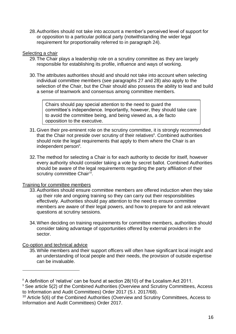28.Authorities should not take into account a member's perceived level of support for or opposition to a particular political party (notwithstanding the wider legal requirement for proportionality referred to in paragraph 24).

#### Selecting a chair

- 29.The Chair plays a leadership role on a scrutiny committee as they are largely responsible for establishing its profile, influence and ways of working.
- 30.The attributes authorities should and should not take into account when selecting individual committee members (see paragraphs 27 and 28) also apply to the selection of the Chair, but the Chair should also possess the ability to lead and build a sense of teamwork and consensus among committee members.

Chairs should pay special attention to the need to guard the committee's independence. Importantly, however, they should take care to avoid the committee being, and being viewed as, a de facto opposition to the executive.

- 31.Given their pre-eminent role on the scrutiny committee, it is strongly recommended that the Chair not preside over scrutiny of their relatives<sup>8</sup>. Combined authorities should note the legal requirements that apply to them where the Chair is an independent person<sup>9</sup>.
- 32.The method for selecting a Chair is for each authority to decide for itself, however every authority should consider taking a vote by secret ballot. Combined Authorities should be aware of the legal requirements regarding the party affiliation of their scrutiny committee Chair $^{10}$ .

### Training for committee members

- 33.Authorities should ensure committee members are offered induction when they take up their role and ongoing training so they can carry out their responsibilities effectively. Authorities should pay attention to the need to ensure committee members are aware of their legal powers, and how to prepare for and ask relevant questions at scrutiny sessions.
- 34.When deciding on training requirements for committee members, authorities should consider taking advantage of opportunities offered by external providers in the sector.

### Co-option and technical advice

1

35.While members and their support officers will often have significant local insight and an understanding of local people and their needs, the provision of outside expertise can be invaluable.

<sup>&</sup>lt;sup>8</sup> A definition of 'relative' can be found at section 28(10) of the Localism Act 2011.

<sup>&</sup>lt;sup>9</sup> See article 5(2) of the Combined Authorities (Overview and Scrutiny Committees, Access to Information and Audit Committees) Order 2017 (S.I. 2017/68).

<sup>10</sup> Article 5(6) of the Combined Authorities (Overview and Scrutiny Committees, Access to Information and Audit Committees) Order 2017.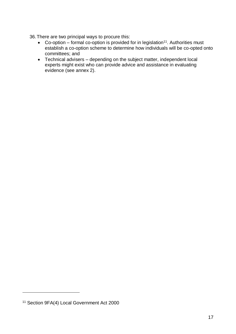36.There are two principal ways to procure this:

- Co-option formal co-option is provided for in legislation<sup>11</sup>. Authorities must establish a co-option scheme to determine how individuals will be co-opted onto committees; and
- Technical advisers depending on the subject matter, independent local experts might exist who can provide advice and assistance in evaluating evidence (see annex 2).

1

<sup>11</sup> Section 9FA(4) Local Government Act 2000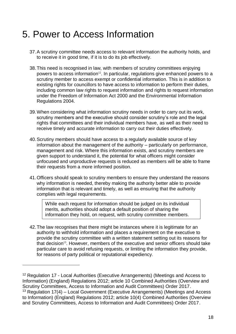### <span id="page-17-0"></span>5. Power to Access Information

- 37.A scrutiny committee needs access to relevant information the authority holds, and to receive it in good time, if it is to do its job effectively.
- 38.This need is recognised in law, with members of scrutiny committees enjoying powers to access information<sup>12</sup>. In particular, regulations give enhanced powers to a scrutiny member to access exempt or confidential information. This is in addition to existing rights for councillors to have access to information to perform their duties, including common law rights to request information and rights to request information under the Freedom of Information Act 2000 and the Environmental Information Regulations 2004.
- 39.When considering what information scrutiny needs in order to carry out its work, scrutiny members and the executive should consider scrutiny's role and the legal rights that committees and their individual members have, as well as their need to receive timely and accurate information to carry out their duties effectively.
- 40.Scrutiny members should have access to a regularly available source of key information about the management of the authority – particularly on performance, management and risk. Where this information exists, and scrutiny members are given support to understand it, the potential for what officers might consider unfocused and unproductive requests is reduced as members will be able to frame their requests from a more informed position.
- 41.Officers should speak to scrutiny members to ensure they understand the reasons why information is needed, thereby making the authority better able to provide information that is relevant and timely, as well as ensuring that the authority complies with legal requirements.

While each request for information should be judged on its individual merits, authorities should adopt a default position of sharing the information they hold, on request, with scrutiny committee members.

42.The law recognises that there might be instances where it is legitimate for an authority to withhold information and places a requirement on the executive to provide the scrutiny committee with a written statement setting out its reasons for that decision $13$ . However, members of the executive and senior officers should take particular care to avoid refusing requests, or limiting the information they provide, for reasons of party political or reputational expediency.

<u>.</u>

<sup>&</sup>lt;sup>12</sup> Regulation 17 - Local Authorities (Executive Arrangements) (Meetings and Access to Information) (England) Regulations 2012; article 10 Combined Authorities (Overview and Scrutiny Committees, Access to Information and Audit Committees) Order 2017.  $13$  Regulation 17(4) – Local Government (Executive Arrangements) (Meetings and Access to Information) (England) Regulations 2012; article 10(4) Combined Authorities (Overview and Scrutiny Committees, Access to Information and Audit Committees) Order 2017.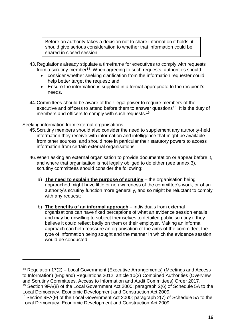Before an authority takes a decision not to share information it holds, it should give serious consideration to whether that information could be shared in closed session.

- 43.Regulations already stipulate a timeframe for executives to comply with requests from a scrutiny member<sup>14</sup>. When agreeing to such requests, authorities should:
	- consider whether seeking clarification from the information requester could help better target the request; and
	- Ensure the information is supplied in a format appropriate to the recipient's needs.
- 44.Committees should be aware of their legal power to require members of the executive and officers to attend before them to answer questions<sup>15</sup>. It is the duty of members and officers to comply with such requests.<sup>16</sup>

#### Seeking information from external organisations

1

- 45.Scrutiny members should also consider the need to supplement any authority-held information they receive with information and intelligence that might be available from other sources, and should note in particular their statutory powers to access information from certain external organisations.
- 46.When asking an external organisation to provide documentation or appear before it, and where that organisation is not legally obliged to do either (see annex 3), scrutiny committees should consider the following:
	- a) **The need to explain the purpose of scrutiny** the organisation being approached might have little or no awareness of the committee's work, or of an authority's scrutiny function more generally, and so might be reluctant to comply with any request;
	- b) **The benefits of an informal approach** individuals from external organisations can have fixed perceptions of what an evidence session entails and may be unwilling to subject themselves to detailed public scrutiny if they believe it could reflect badly on them or their employer. Making an informal approach can help reassure an organisation of the aims of the committee, the type of information being sought and the manner in which the evidence session would be conducted;

<sup>&</sup>lt;sup>14</sup> Regulation 17(2) – Local Government (Executive Arrangements) (Meetings and Access to Information) (England) Regulations 2012; article 10(2) Combined Authorities (Overview and Scrutiny Committees, Access to Information and Audit Committees) Order 2017. <sup>15</sup> Section 9FA(8) of the Local Government Act 2000; paragraph 2(6) of Schedule 5A to the

Local Democracy, Economic Development and Construction Act 2009.

<sup>&</sup>lt;sup>16</sup> Section 9FA(9) of the Local Government Act 2000; paragraph 2(7) of Schedule 5A to the Local Democracy, Economic Development and Construction Act 2009.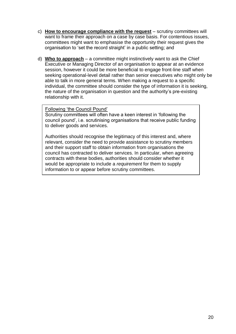- c) **How to encourage compliance with the request** scrutiny committees will want to frame their approach on a case by case basis. For contentious issues, committees might want to emphasise the opportunity their request gives the organisation to 'set the record straight' in a public setting; and
- d) **Who to approach** a committee might instinctively want to ask the Chief Executive or Managing Director of an organisation to appear at an evidence session, however it could be more beneficial to engage front-line staff when seeking operational-level detail rather than senior executives who might only be able to talk in more general terms. When making a request to a specific individual, the committee should consider the type of information it is seeking, the nature of the organisation in question and the authority's pre-existing relationship with it.

#### Following 'the Council Pound'

Scrutiny committees will often have a keen interest in 'following the council pound', i.e. scrutinising organisations that receive public funding to deliver goods and services.

Authorities should recognise the legitimacy of this interest and, where relevant, consider the need to provide assistance to scrutiny members and their support staff to obtain information from organisations the council has contracted to deliver services. In particular, when agreeing contracts with these bodies, authorities should consider whether it would be appropriate to include a *requirement* for them to supply information to or appear before scrutiny committees.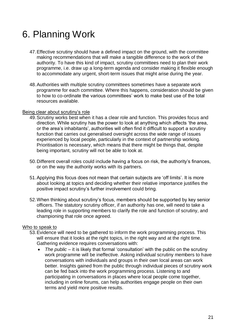# <span id="page-20-0"></span>6. Planning Work

- 47.Effective scrutiny should have a defined impact on the ground, with the committee making recommendations that will make a tangible difference to the work of the authority. To have this kind of impact, scrutiny committees need to plan their work programme, i.e. draw up a long-term agenda and consider making it flexible enough to accommodate any urgent, short-term issues that might arise during the year.
- 48.Authorities with multiple scrutiny committees sometimes have a separate work programme for each committee. Where this happens, consideration should be given to how to co-ordinate the various committees' work to make best use of the total resources available.

#### Being clear about scrutiny's role

- 49.Scrutiny works best when it has a clear role and function. This provides focus and direction. While scrutiny has the power to look at anything which affects 'the area, or the area's inhabitants', authorities will often find it difficult to support a scrutiny function that carries out generalised oversight across the wide range of issues experienced by local people, particularly in the context of partnership working. Prioritisation is necessary, which means that there might be things that, despite being important, scrutiny will not be able to look at.
- 50.Different overall roles could include having a focus on risk, the authority's finances, or on the way the authority works with its partners.
- 51.Applying this focus does not mean that certain subjects are 'off limits'. It is more about looking at topics and deciding whether their relative importance justifies the positive impact scrutiny's further involvement could bring.
- 52.When thinking about scrutiny's focus, members should be supported by key senior officers. The statutory scrutiny officer, if an authority has one, will need to take a leading role in supporting members to clarify the role and function of scrutiny, and championing that role once agreed.

#### Who to speak to

- 53.Evidence will need to be gathered to inform the work programming process. This will ensure that it looks at the right topics, in the right way and at the right time. Gathering evidence requires conversations with:
	- *The public* it is likely that formal 'consultation' with the public on the scrutiny work programme will be ineffective. Asking individual scrutiny members to have conversations with individuals and groups in their own local areas can work better. Insights gained from the public through individual pieces of scrutiny work can be fed back into the work programming process. Listening to and participating in conversations in places where local people come together, including in online forums, can help authorities engage people on their own terms and yield more positive results.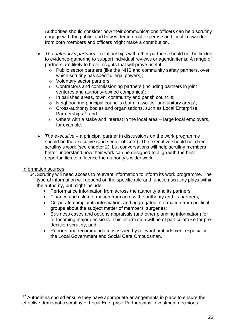Authorities should consider how their communications officers can help scrutiny engage with the public, and how wider internal expertise and local knowledge from both members and officers might make a contribution.

- *The authority's partners* relationships with other partners should not be limited to evidence-gathering to support individual reviews or agenda items. A range of partners are likely to have insights that will prove useful:
	- o Public sector partners (like the NHS and community safety partners, over which scrutiny has specific legal powers);
	- o Voluntary sector partners;
	- o Contractors and commissioning partners (including partners in joint ventures and authority-owned companies);
	- o In parished areas, town, community and parish councils;
	- o Neighbouring principal councils (both in two-tier and unitary areas);
	- o Cross-authority bodies and organisations, such as Local Enterprise Partnerships<sup>17</sup>; and
	- o Others with a stake and interest in the local area large local employers, for example.
- *The executive*  a principal partner in discussions on the work programme should be the executive (and senior officers). The executive should not direct scrutiny's work (see chapter 2), but conversations will help scrutiny members better understand how their work can be designed to align with the best opportunities to influence the authority's wider work.

#### Information sources

1

- 54.Scrutiny will need access to relevant information to inform its work programme. The type of information will depend on the specific role and function scrutiny plays within the authority, but might include:
	- Performance information from across the authority and its partners;
	- Finance and risk information from across the authority and its partners;
	- Corporate complaints information, and aggregated information from political groups about the subject matter of members' surgeries;
	- Business cases and options appraisals (and other planning information) for forthcoming major decisions. This information will be of particular use for predecision scrutiny; and
	- Reports and recommendations issued by relevant ombudsmen, especially the Local Government and Social Care Ombudsman.

<sup>&</sup>lt;sup>17</sup> Authorities should ensure they have appropriate arrangements in place to ensure the effective democratic scrutiny of Local Enterprise Partnerships' investment decisions.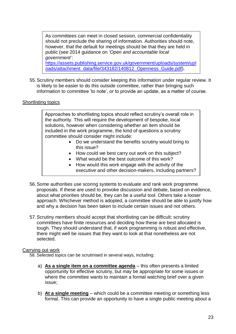As committees can meet in closed session, commercial confidentiality should not preclude the sharing of information. Authorities should note, however, that the default for meetings should be that they are held in public (see 2014 guidance on '*Open and accountable local government*':

[https://assets.publishing.service.gov.uk/government/uploads/system/upl](https://assets.publishing.service.gov.uk/government/uploads/system/uploads/attachment_data/file/343182/140812_Openness_Guide.pdf) [oads/attachment\\_data/file/343182/140812\\_Openness\\_Guide.pdf\)](https://assets.publishing.service.gov.uk/government/uploads/system/uploads/attachment_data/file/343182/140812_Openness_Guide.pdf).

55.Scrutiny members should consider keeping this information under regular review. It is likely to be easier to do this outside committee, rather than bringing such information to committee 'to note', or to provide an update, as a matter of course.

#### Shortlisting topics

Approaches to shortlisting topics should reflect scrutiny's overall role in the authority. This will require the development of bespoke, local solutions, however when considering whether an item should be included in the work programme, the kind of questions a scrutiny committee should consider might include:

- Do we understand the benefits scrutiny would bring to this issue?
- How could we best carry out work on this subject?
- What would be the best outcome of this work?
- How would this work engage with the activity of the executive and other decision-makers, including partners?
- 56.Some authorities use scoring systems to evaluate and rank work programme proposals. If these are used to provoke discussion and debate, based on evidence, about what priorities should be, they can be a useful tool. Others take a looser approach. Whichever method is adopted, a committee should be able to justify how and why a decision has been taken to include certain issues and not others.
- 57.Scrutiny members should accept that shortlisting can be difficult; scrutiny committees have finite resources and deciding how these are best allocated is tough. They should understand that, if work programming is robust and effective, there might well be issues that they want to look at that nonetheless are not selected.

#### Carrying out work

58. Selected topics can be scrutinised in several ways, including:

- a) **As a single item on a committee agenda** this often presents a limited opportunity for effective scrutiny, but may be appropriate for some issues or where the committee wants to maintain a formal watching brief over a given issue;
- b) **At a single meeting** which could be a committee meeting or something less formal. This can provide an opportunity to have a single public meeting about a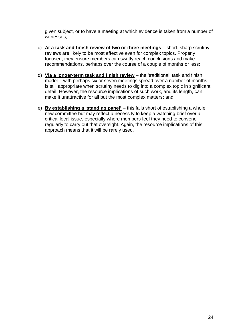given subject, or to have a meeting at which evidence is taken from a number of witnesses;

- c) **At a task and finish review of two or three meetings** short, sharp scrutiny reviews are likely to be most effective even for complex topics. Properly focused, they ensure members can swiftly reach conclusions and make recommendations, perhaps over the course of a couple of months or less;
- d) **Via a longer-term task and finish review** the 'traditional' task and finish model – with perhaps six or seven meetings spread over a number of months – is still appropriate when scrutiny needs to dig into a complex topic in significant detail. However, the resource implications of such work, and its length, can make it unattractive for all but the most complex matters; and
- e) **By establishing a 'standing panel'** this falls short of establishing a whole new committee but may reflect a necessity to keep a watching brief over a critical local issue, especially where members feel they need to convene regularly to carry out that oversight. Again, the resource implications of this approach means that it will be rarely used.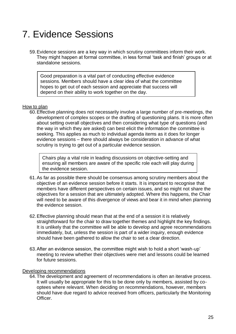# <span id="page-24-0"></span>7. Evidence Sessions

59.Evidence sessions are a key way in which scrutiny committees inform their work. They might happen at formal committee, in less formal 'task and finish' groups or at standalone sessions.

Good preparation is a vital part of conducting effective evidence sessions. Members should have a clear idea of what the committee hopes to get out of each session and appreciate that success will depend on their ability to work together on the day.

#### How to plan

60.Effective planning does not necessarily involve a large number of pre-meetings, the development of complex scopes or the drafting of questioning plans. It is more often about setting overall objectives and then considering what type of questions (and the way in which they are asked) can best elicit the information the committee is seeking. This applies as much to individual agenda items as it does for longer evidence sessions – there should always be consideration in advance of what scrutiny is trying to get out of a particular evidence session.

Chairs play a vital role in leading discussions on objective-setting and ensuring all members are aware of the specific role each will play during the evidence session.

- 61.As far as possible there should be consensus among scrutiny members about the objective of an evidence session before it starts. It is important to recognise that members have different perspectives on certain issues, and so might not share the objectives for a session that are ultimately adopted. Where this happens, the Chair will need to be aware of this divergence of views and bear it in mind when planning the evidence session.
- 62.Effective planning should mean that at the end of a session it is relatively straightforward for the chair to draw together themes and highlight the key findings. It is unlikely that the committee will be able to develop and agree recommendations immediately, but, unless the session is part of a wider inquiry, enough evidence should have been gathered to allow the chair to set a clear direction.
- 63.After an evidence session, the committee might wish to hold a short 'wash-up' meeting to review whether their objectives were met and lessons could be learned for future sessions.

#### Developing recommendations

64.The development and agreement of recommendations is often an iterative process. It will usually be appropriate for this to be done only by members, assisted by cooptees where relevant. When deciding on recommendations, however, members should have due regard to advice received from officers, particularly the Monitoring **Officer**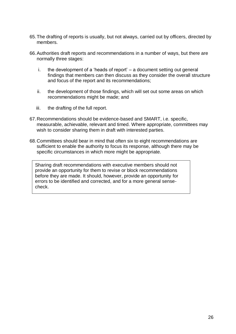- 65.The drafting of reports is usually, but not always, carried out by officers, directed by members.
- 66.Authorities draft reports and recommendations in a number of ways, but there are normally three stages:
	- i. the development of a 'heads of report' a document setting out general findings that members can then discuss as they consider the overall structure and focus of the report and its recommendations;
	- ii. the development of those findings, which will set out some areas on which recommendations might be made; and
	- iii. the drafting of the full report.
- 67.Recommendations should be evidence-based and SMART, i.e. specific, measurable, achievable, relevant and timed. Where appropriate, committees may wish to consider sharing them in draft with interested parties.
- 68.Committees should bear in mind that often six to eight recommendations are sufficient to enable the authority to focus its response, although there may be specific circumstances in which more might be appropriate.

Sharing draft recommendations with executive members should not provide an opportunity for them to revise or block recommendations before they are made. It should, however, provide an opportunity for errors to be identified and corrected, and for a more general sensecheck.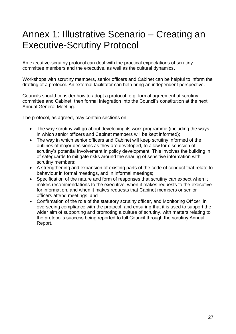# <span id="page-26-0"></span>Annex 1: Illustrative Scenario – Creating an Executive-Scrutiny Protocol

An executive-scrutiny protocol can deal with the practical expectations of scrutiny committee members and the executive, as well as the cultural dynamics.

Workshops with scrutiny members, senior officers and Cabinet can be helpful to inform the drafting of a protocol. An external facilitator can help bring an independent perspective.

Councils should consider how to adopt a protocol, e.g. formal agreement at scrutiny committee and Cabinet, then formal integration into the Council's constitution at the next Annual General Meeting.

The protocol, as agreed, may contain sections on:

- The way scrutiny will go about developing its work programme (including the ways in which senior officers and Cabinet members will be kept informed);
- The way in which senior officers and Cabinet will keep scrutiny informed of the outlines of major decisions as they are developed, to allow for discussion of scrutiny's potential involvement in policy development. This involves the building in of safeguards to mitigate risks around the sharing of sensitive information with scrutiny members;
- A strengthening and expansion of existing parts of the code of conduct that relate to behaviour in formal meetings, and in informal meetings;
- Specification of the nature and form of responses that scrutiny can expect when it makes recommendations to the executive, when it makes requests to the executive for information, and when it makes requests that Cabinet members or senior officers attend meetings; and
- Confirmation of the role of the statutory scrutiny officer, and Monitoring Officer, in overseeing compliance with the protocol, and ensuring that it is used to support the wider aim of supporting and promoting a culture of scrutiny, with matters relating to the protocol's success being reported to full Council through the scrutiny Annual Report.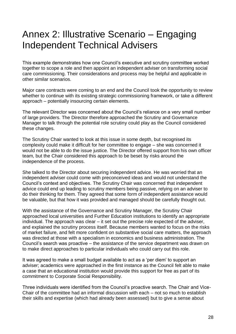## <span id="page-27-0"></span>Annex 2: Illustrative Scenario – Engaging Independent Technical Advisers

This example demonstrates how one Council's executive and scrutiny committee worked together to scope a role and then appoint an independent adviser on transforming social care commissioning. Their considerations and process may be helpful and applicable in other similar scenarios.

Major care contracts were coming to an end and the Council took the opportunity to review whether to continue with its existing strategic commissioning framework, or take a different approach – potentially insourcing certain elements.

The relevant Director was concerned about the Council's reliance on a very small number of large providers. The Director therefore approached the Scrutiny and Governance Manager to talk through the potential role scrutiny could play as the Council considered these changes.

The Scrutiny Chair wanted to look at this issue in some depth, but recognised its complexity could make it difficult for her committee to engage – she was concerned it would not be able to do the issue justice. The Director offered support from his own officer team, but the Chair considered this approach to be beset by risks around the independence of the process.

She talked to the Director about securing independent advice. He was worried that an independent adviser could come with preconceived ideas and would not understand the Council's context and objectives. The Scrutiny Chair was concerned that independent advice could end up leading to scrutiny members being passive, relying on an adviser to do their thinking for them. They agreed that some form of independent assistance would be valuable, but that how it was provided and managed should be carefully thought out.

With the assistance of the Governance and Scrutiny Manager, the Scrutiny Chair approached local universities and Further Education institutions to identify an appropriate individual. The approach was clear – it set out the precise role expected of the adviser, and explained the scrutiny process itself. Because members wanted to focus on the risks of market failure, and felt more confident on substantive social care matters, the approach was directed at those with a specialism in economics and business administration. The Council's search was proactive – the assistance of the service department was drawn on to make direct approaches to particular individuals who could carry out this role.

It was agreed to make a small budget available to act as a 'per diem' to support an adviser; academics were approached in the first instance as the Council felt able to make a case that an educational institution would provide this support for free as part of its commitment to Corporate Social Responsibility.

Three individuals were identified from the Council's proactive search. The Chair and Vice-Chair of the committee had an informal discussion with each – not so much to establish their skills and expertise (which had already been assessed) but to give a sense about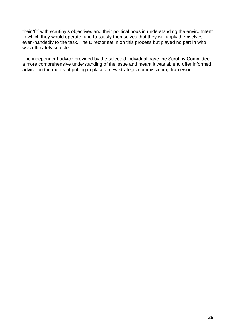their 'fit' with scrutiny's objectives and their political nous in understanding the environment in which they would operate, and to satisfy themselves that they will apply themselves even-handedly to the task. The Director sat in on this process but played no part in who was ultimately selected.

The independent advice provided by the selected individual gave the Scrutiny Committee a more comprehensive understanding of the issue and meant it was able to offer informed advice on the merits of putting in place a new strategic commissioning framework.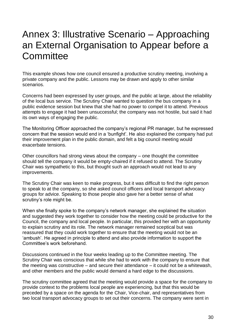## <span id="page-29-0"></span>Annex 3: Illustrative Scenario – Approaching an External Organisation to Appear before a **Committee**

This example shows how one council ensured a productive scrutiny meeting, involving a private company and the public. Lessons may be drawn and apply to other similar scenarios.

Concerns had been expressed by user groups, and the public at large, about the reliability of the local bus service. The Scrutiny Chair wanted to question the bus company in a public evidence session but knew that she had no power to compel it to attend. Previous attempts to engage it had been unsuccessful; the company was not hostile, but said it had its own ways of engaging the public.

The Monitoring Officer approached the company's regional PR manager, but he expressed concern that the session would end in a 'bunfight'. He also explained the company had put their improvement plan in the public domain, and felt a big council meeting would exacerbate tensions.

Other councillors had strong views about the company – one thought the committee should tell the company it would be empty-chaired if it refused to attend. The Scrutiny Chair was sympathetic to this, but thought such an approach would not lead to any improvements.

The Scrutiny Chair was keen to make progress, but it was difficult to find the right person to speak to at the company, so she asked council officers and local transport advocacy groups for advice. Speaking to those people also gave her a better sense of what scrutiny's role might be.

When she finally spoke to the company's network manager, she explained the situation and suggested they work together to consider how the meeting could be productive for the Council, the company and local people. In particular, this provided her with an opportunity to explain scrutiny and its role. The network manager remained sceptical but was reassured that they could work together to ensure that the meeting would not be an 'ambush'. He agreed in principle to attend and also provide information to support the Committee's work beforehand.

Discussions continued in the four weeks leading up to the Committee meeting. The Scrutiny Chair was conscious that while she had to work with the company to ensure that the meeting was constructive – and secure their attendance – it could not be a whitewash, and other members and the public would demand a hard edge to the discussions.

The scrutiny committee agreed that the meeting would provide a space for the company to provide context to the problems local people are experiencing, but that this would be preceded by a space on the agenda for the Chair, Vice-chair, and representatives from two local transport advocacy groups to set out their concerns. The company were sent in